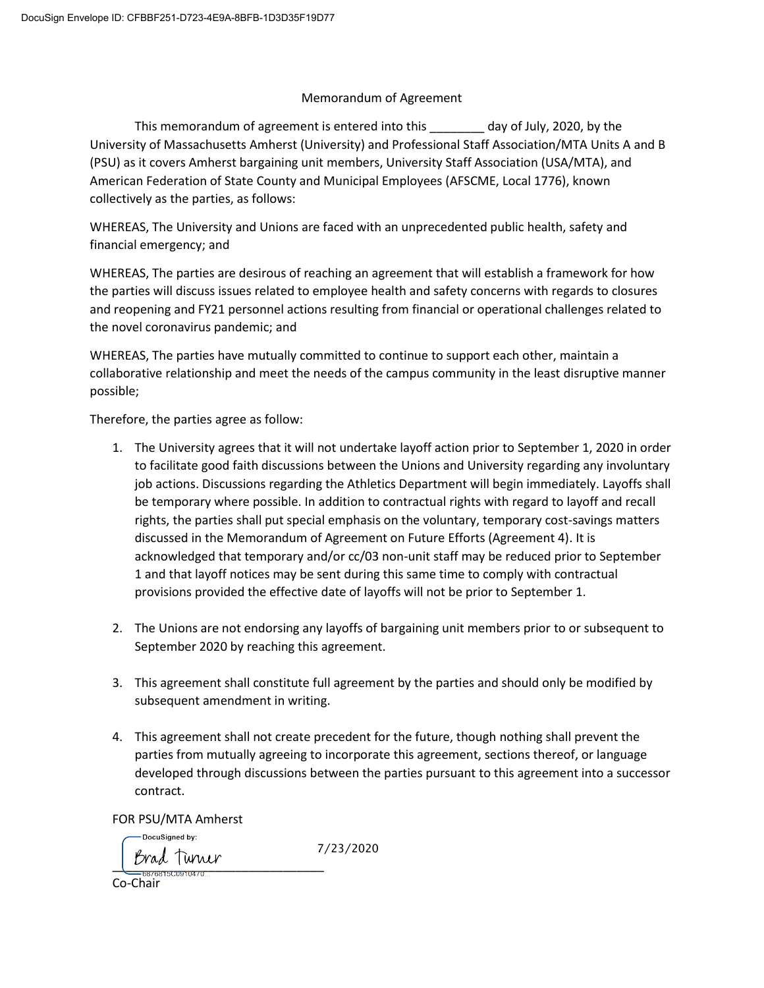## Memorandum of Agreement

This memorandum of agreement is entered into this \_\_\_\_\_\_\_\_ day of July, 2020, by the University of Massachusetts Amherst (University) and Professional Staff Association/MTA Units A and B (PSU) as it covers Amherst bargaining unit members, University Staff Association (USA/MTA), and American Federation of State County and Municipal Employees (AFSCME, Local 1776), known collectively as the parties, as follows:

WHEREAS, The University and Unions are faced with an unprecedented public health, safety and financial emergency; and

WHEREAS, The parties are desirous of reaching an agreement that will establish a framework for how the parties will discuss issues related to employee health and safety concerns with regards to closures and reopening and FY21 personnel actions resulting from financial or operational challenges related to the novel coronavirus pandemic; and

WHEREAS, The parties have mutually committed to continue to support each other, maintain a collaborative relationship and meet the needs of the campus community in the least disruptive manner possible;

Therefore, the parties agree as follow:

- 1. The University agrees that it will not undertake layoff action prior to September 1, 2020 in order to facilitate good faith discussions between the Unions and University regarding any involuntary job actions. Discussions regarding the Athletics Department will begin immediately. Layoffs shall be temporary where possible. In addition to contractual rights with regard to layoff and recall rights, the parties shall put special emphasis on the voluntary, temporary cost-savings matters discussed in the Memorandum of Agreement on Future Efforts (Agreement 4). It is acknowledged that temporary and/or cc/03 non-unit staff may be reduced prior to September 1 and that layoff notices may be sent during this same time to comply with contractual provisions provided the effective date of layoffs will not be prior to September 1.
- 2. The Unions are not endorsing any layoffs of bargaining unit members prior to or subsequent to September 2020 by reaching this agreement.
- 3. This agreement shall constitute full agreement by the parties and should only be modified by subsequent amendment in writing.
- 4. This agreement shall not create precedent for the future, though nothing shall prevent the parties from mutually agreeing to incorporate this agreement, sections thereof, or language developed through discussions between the parties pursuant to this agreement into a successor contract.

FOR PSU/MTA Amherst

DocuSigned by: 7/23/2020Brad Turner<br>==================

Co-Chair